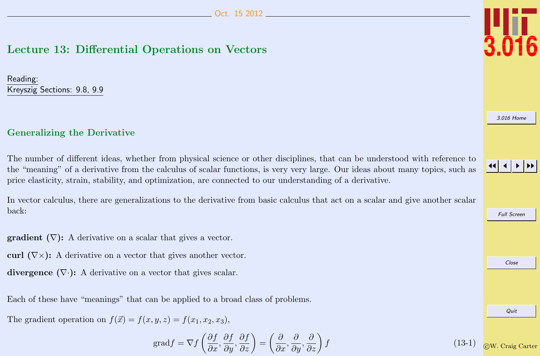# <span id="page-0-0"></span>Lecture 13: Differential Operations on Vectors

Reading: Kreyszig Sections: 9.8, 9.9

#### Generalizing the Derivative

The number of different ideas, whether from physical science or other disciplines, that can be understood with reference to the "meaning" of a derivative from the calculus of scalar functions, is very very large. Our ideas about many topics, such as price elasticity, strain, stability, and optimization, are connected to our understanding of a derivative.

In vector calculus, there are generalizations to the derivative from basic calculus that act on a scalar and give another scalar back:

**gradient**  $(\nabla)$ : A derivative on a scalar that gives a vector.

curl  $(\nabla \times)$ : A derivative on a vector that gives another vector.

divergence  $(\nabla \cdot)$ : A derivative on a vector that gives scalar.

Each of these have "meanings" that can be applied to a broad class of problems.

The gradient operation on  $f(\vec{x}) = f(x, y, z) = f(x_1, x_2, x_3)$ ,

$$
\text{grad} f = \nabla f \left( \frac{\partial f}{\partial x}, \frac{\partial f}{\partial y}, \frac{\partial f}{\partial z} \right) = \left( \frac{\partial}{\partial x}, \frac{\partial}{\partial y}, \frac{\partial}{\partial z} \right) f \tag{13-1}
$$



[3.016 Home](http://pruffle.mit.edu/3.016-2012/)



Full Screen Close Quit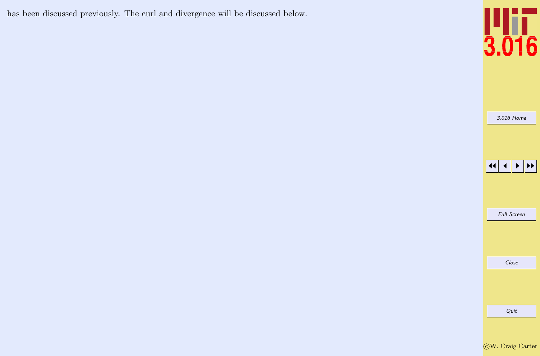has been discussed previously. The curl and divergence will be discussed below.



[3.016 Home](http://pruffle.mit.edu/3.016-2012/)

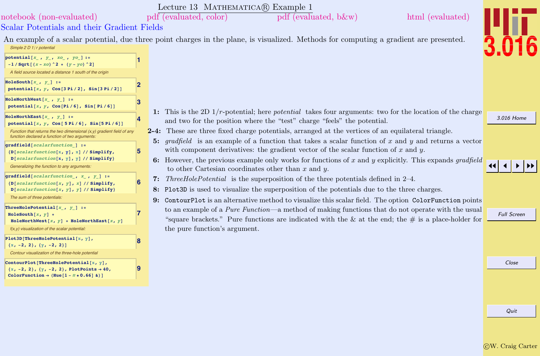|                                                                                                                             |              | Lecture 13 MATHEMATICA(R) Example 1                                                                                                                                                                                                                                                                             |                    |
|-----------------------------------------------------------------------------------------------------------------------------|--------------|-----------------------------------------------------------------------------------------------------------------------------------------------------------------------------------------------------------------------------------------------------------------------------------------------------------------|--------------------|
| notebook (non-evaluated)                                                                                                    |              | pdf (evaluated, color)<br>html (evaluated)<br>pdf (evaluated, b&w)                                                                                                                                                                                                                                              |                    |
| Scalar Potentials and their Gradient Fields                                                                                 |              |                                                                                                                                                                                                                                                                                                                 |                    |
| Simple 2 D 1/r potential                                                                                                    |              | An example of a scalar potential, due three point charges in the plane, is visualized. Methods for computing a gradient are presented.                                                                                                                                                                          |                    |
| potential $[x_1, y_1, xo_1, yo_1]:=$<br>$-1 / \sqrt{3}$ $(x - xo)$ $2 + (y - yo)$ $2$                                       |              |                                                                                                                                                                                                                                                                                                                 |                    |
| A field source located a distance 1 south of the origin                                                                     |              |                                                                                                                                                                                                                                                                                                                 |                    |
| HoleSouth $[x_1, y_2]$ :=<br>potential $[x, y, \cos[3 Pi/2], Sin[3 Pi/2]]$                                                  | $\mathbf{2}$ |                                                                                                                                                                                                                                                                                                                 |                    |
| HoleNorthWest $[x_ , y_ ]$ :=<br>potential $[x, y, \cos[Pi/6], \sin[Pi/6]]$                                                 | 3            | 1: This is the 2D $1/r$ -potential; here <i>potential</i> takes four arguments: two for the location of the charge                                                                                                                                                                                              |                    |
| HoleNorthEast $[x, y]$ :=<br>potential $[x, y, \cos[5 Pi/6], Sin[5 Pi/6]]$                                                  | 4            | and two for the position where the "test" charge "feels" the potential.                                                                                                                                                                                                                                         | 3.016 Home         |
| Function that returns the two dimensional $(x, y)$ gradient field of any<br>function declared a function of two arguments:  |              | 2-4: These are three fixed charge potentials, arranged at the vertices of an equilateral triangle.                                                                                                                                                                                                              |                    |
| gradfield[scalarfunction ] :=<br>${D[scalar function[x, y], x] // Simplify,}$<br>$D[scalar function[x, y], y]$ // Simplify} | 5            | 5: gradfield is an example of a function that takes a scalar function of x and y and returns a vector<br>with component derivatives: the gradient vector of the scalar function of $x$ and $y$ .<br>6: However, the previous example only works for functions of $x$ and $y$ explicitly. This expands gradfield |                    |
| Generalizing the function to any arguments:                                                                                 |              | to other Cartesian coordinates other than $x$ and $y$ .                                                                                                                                                                                                                                                         |                    |
| gradfield [scalarfunction_, $x$ _, $y$ _] :=<br>$\{D[scalar function[x, y], x]/Simplify,$                                   | $6 \,$       | 7: Three Hole Potential is the superposition of the three potentials defined in $2-4$ .                                                                                                                                                                                                                         |                    |
| $D[scalar function[x, y], y]$ // Simplify}<br>The sum of three potentials:                                                  |              | 8: Plot3D is used to visualize the superposition of the potentials due to the three charges.<br>9: ContourPlot is an alternative method to visualize this scalar field. The option ColorFunction points                                                                                                         |                    |
| ThreeHolePotential $[x, y]$ :=                                                                                              |              | to an example of a <i>Pure Function</i> —a method of making functions that do not operate with the usual                                                                                                                                                                                                        |                    |
| $Holesouth[x, y] +$<br>HoleNorthWest[x, $y$ ] + HoleNorthEast[x, $y$ ]                                                      |              | "square brackets." Pure functions are indicated with the & at the end; the $\#$ is a place-holder for                                                                                                                                                                                                           | <b>Full Screen</b> |
| f(x,y) visualization of the scalar potential:                                                                               |              | the pure function's argument.                                                                                                                                                                                                                                                                                   |                    |
| Plot3D[ThreeHolePotential[ $x, y$ ],<br>$\{x, -2, 2\}, \{y, -2, 2\}\}\$                                                     | 8            |                                                                                                                                                                                                                                                                                                                 |                    |
| Contour visualization of the three-hole potential                                                                           |              |                                                                                                                                                                                                                                                                                                                 |                    |
| ContourPlot[ThreeHolePotential[x, y],<br>$\{x, -2, 2\}, \{y, -2, 2\},$ PlotPoints $\rightarrow 40$ ,                        | 9            |                                                                                                                                                                                                                                                                                                                 | Close              |
| ColorFunction $\rightarrow$ (Hue[1 - # $\star$ 0.66] &)]                                                                    |              |                                                                                                                                                                                                                                                                                                                 |                    |
|                                                                                                                             |              |                                                                                                                                                                                                                                                                                                                 |                    |
|                                                                                                                             |              |                                                                                                                                                                                                                                                                                                                 |                    |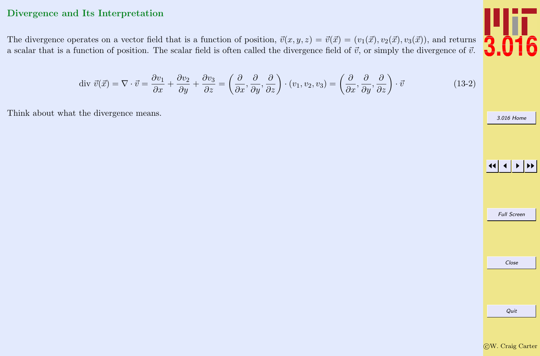## Divergence and Its Interpretation

The divergence operates on a vector field that is a function of position,  $\vec{v}(x, y, z) = \vec{v}(\vec{x}) = (v_1(\vec{x}), v_2(\vec{x}), v_3(\vec{x}))$ , and returns a scalar that is a function of position. The scalar field is often called the divergence field of  $\vec{v}$ , or simply the divergence of  $\vec{v}$ .

$$
\text{div } \vec{v}(\vec{x}) = \nabla \cdot \vec{v} = \frac{\partial v_1}{\partial x} + \frac{\partial v_2}{\partial y} + \frac{\partial v_3}{\partial z} = \left(\frac{\partial}{\partial x}, \frac{\partial}{\partial y}, \frac{\partial}{\partial z}\right) \cdot (v_1, v_2, v_3) = \left(\frac{\partial}{\partial x}, \frac{\partial}{\partial y}, \frac{\partial}{\partial z}\right) \cdot \vec{v} \tag{13-2}
$$

Think about what the divergence means.



[3.016 Home](http://pruffle.mit.edu/3.016-2012/)

|  | <b>Full Screen</b> |  |
|--|--------------------|--|
|  |                    |  |
|  |                    |  |
|  | Close              |  |
|  |                    |  |
|  |                    |  |
|  |                    |  |
|  | Quit               |  |
|  |                    |  |

CW. Craig Carter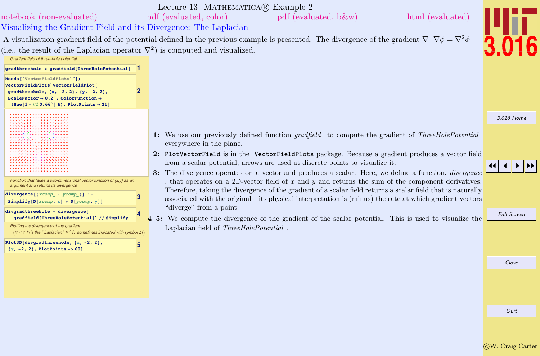|                                                                                                                                                                                                                                                                                       | Lecture 13 MATHEMATICA(R) Example 2                                                                                                                                                                                                                                                                                                                                                                                                                                                                                                                                                                                                                                                                                                                                               |                    |
|---------------------------------------------------------------------------------------------------------------------------------------------------------------------------------------------------------------------------------------------------------------------------------------|-----------------------------------------------------------------------------------------------------------------------------------------------------------------------------------------------------------------------------------------------------------------------------------------------------------------------------------------------------------------------------------------------------------------------------------------------------------------------------------------------------------------------------------------------------------------------------------------------------------------------------------------------------------------------------------------------------------------------------------------------------------------------------------|--------------------|
| notebook (non-evaluated)                                                                                                                                                                                                                                                              | html (evaluated)<br>pdf (evaluated, color)<br>pdf (evaluated, b&w)                                                                                                                                                                                                                                                                                                                                                                                                                                                                                                                                                                                                                                                                                                                |                    |
| Visualizing the Gradient Field and its Divergence: The Laplacian                                                                                                                                                                                                                      |                                                                                                                                                                                                                                                                                                                                                                                                                                                                                                                                                                                                                                                                                                                                                                                   |                    |
|                                                                                                                                                                                                                                                                                       | A visualization gradient field of the potential defined in the previous example is presented. The divergence of the gradient $\nabla \cdot \nabla \phi = \nabla^2 \phi$                                                                                                                                                                                                                                                                                                                                                                                                                                                                                                                                                                                                           |                    |
| (i.e., the result of the Laplacian operator $\nabla^2$ ) is computed and visualized.                                                                                                                                                                                                  |                                                                                                                                                                                                                                                                                                                                                                                                                                                                                                                                                                                                                                                                                                                                                                                   |                    |
| Gradient field of three-hole potential                                                                                                                                                                                                                                                |                                                                                                                                                                                                                                                                                                                                                                                                                                                                                                                                                                                                                                                                                                                                                                                   |                    |
| gradthreehole = gradfield[ThreeHolePotential]                                                                                                                                                                                                                                         |                                                                                                                                                                                                                                                                                                                                                                                                                                                                                                                                                                                                                                                                                                                                                                                   |                    |
| Needs["VectorFieldPlots`"];<br>VectorFieldPlots`VectorFieldPlot[<br>gradthreehole, $\{x, -2, 2\}$ , $\{y, -2, 2\}$ ,<br>ScaleFactor $\rightarrow$ 0.2 <sup><math>\circ</math></sup> , ColorFunction $\rightarrow$<br>(Hue $[1 - \#1 \ 0.66^{\circ}]$ &), PlotPoints $\rightarrow$ 21] |                                                                                                                                                                                                                                                                                                                                                                                                                                                                                                                                                                                                                                                                                                                                                                                   |                    |
|                                                                                                                                                                                                                                                                                       |                                                                                                                                                                                                                                                                                                                                                                                                                                                                                                                                                                                                                                                                                                                                                                                   | 3.016 Home         |
| ****** <i>****</i> ***** <i>****</i> *<br>Function that takes a two-dimensional vector function of $(x, y)$ as an<br>argument and returns its divergence<br>$divergence [{xcomp_, ycomp_{}}] :=$<br>з<br>Simplify $[D[xcomp, x] + D[ycomp, y]]$                                       | 1: We use our previously defined function <i>gradfield</i> to compute the gradient of <i>ThreeHolePotential</i><br>everywhere in the plane.<br>2: PlotVectorField is in the VectorFieldPlots package. Because a gradient produces a vector field<br>from a scalar potential, arrows are used at discrete points to visualize it.<br>3: The divergence operates on a vector and produces a scalar. Here, we define a function, <i>divergence</i><br>, that operates on a 2D-vector field of $x$ and $y$ and returns the sum of the component derivatives.<br>Therefore, taking the divergence of the gradient of a scalar field returns a scalar field that is naturally<br>associated with the original—its physical interpretation is (minus) the rate at which gradient vectors |                    |
| divgradthreehole = divergence[<br>gradfield[ThreeHolePotential]] // Simplify                                                                                                                                                                                                          | "diverge" from a point.<br>$4-5$ : We compute the divergence of the gradient of the scalar potential. This is used to visualize the                                                                                                                                                                                                                                                                                                                                                                                                                                                                                                                                                                                                                                               | <b>Full Screen</b> |
| Plotting the divergence of the gradient<br>$(\nabla \cdot (\nabla f)$ is the "Laplacian" $\nabla^2 f$ , sometimes indicated with symbol $\Delta f$<br>Plot3D[divgradthreehole, $\{x, -2, 2\}$ ,<br>5<br>$\{y, -2, 2\}$ , PlotPoints -> 60]                                            | Laplacian field of ThreeHolePotential.                                                                                                                                                                                                                                                                                                                                                                                                                                                                                                                                                                                                                                                                                                                                            |                    |
|                                                                                                                                                                                                                                                                                       |                                                                                                                                                                                                                                                                                                                                                                                                                                                                                                                                                                                                                                                                                                                                                                                   | Close              |
|                                                                                                                                                                                                                                                                                       |                                                                                                                                                                                                                                                                                                                                                                                                                                                                                                                                                                                                                                                                                                                                                                                   |                    |
|                                                                                                                                                                                                                                                                                       |                                                                                                                                                                                                                                                                                                                                                                                                                                                                                                                                                                                                                                                                                                                                                                                   | Quit               |

 $\overline{\text{C}}\text{W}$ . Craig Carter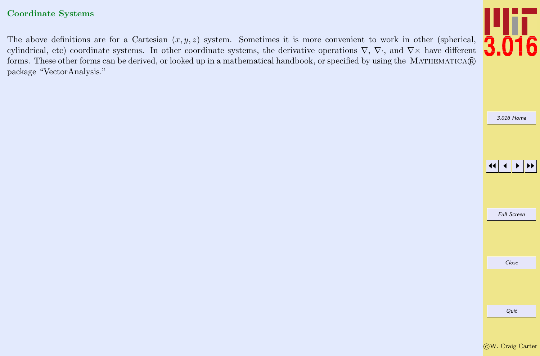#### Coordinate Systems

The above definitions are for a Cartesian  $(x, y, z)$  system. Sometimes it is more convenient to work in other (spherical, cylindrical, etc) coordinate systems. In other coordinate systems, the derivative operations  $\nabla$ ,  $\nabla$ , and  $\nabla \times$  have different forms. These other forms can be derived, or looked up in a mathematical handbook, or specified by using the MATHEMATICA® package "VectorAnalysis."



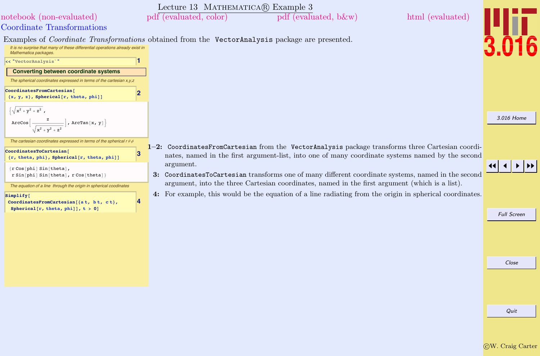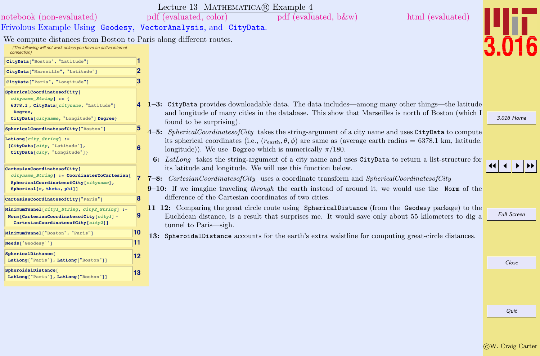|                                                                                                                                                        |                         | Lecture 13 MATHEMATICA(R) Example 4                                                                                                                                                                                                                                                                 |                    |
|--------------------------------------------------------------------------------------------------------------------------------------------------------|-------------------------|-----------------------------------------------------------------------------------------------------------------------------------------------------------------------------------------------------------------------------------------------------------------------------------------------------|--------------------|
| notebook (non-evaluated)                                                                                                                               |                         | $pdf$ (evaluated, b &w)<br>html (evaluated)<br>pdf (evaluated, color)                                                                                                                                                                                                                               |                    |
| Frivolous Example Using Geodesy, VectorAnalysis, and CityData.                                                                                         |                         |                                                                                                                                                                                                                                                                                                     |                    |
| We compute distances from Boston to Paris along different routes.<br>(The following will not work unless you have an active internet<br>connection)    |                         |                                                                                                                                                                                                                                                                                                     |                    |
| CityData["Boston", "Latitude"]                                                                                                                         | п                       |                                                                                                                                                                                                                                                                                                     |                    |
| CityData["Marseille", "Latitude"]                                                                                                                      | $\overline{2}$          |                                                                                                                                                                                                                                                                                                     |                    |
| CityData["Paris", "Longitude"]                                                                                                                         | 3                       |                                                                                                                                                                                                                                                                                                     |                    |
| SphericalCoordinatesofCity[<br>$cityname String] := \{$<br>6378.1, CityData[cityname, "Latitude"]<br>Degree<br>CityData[cityname, "Longitude"] Degree} |                         | 1-3: CityData provides downloadable data. The data includes—among many other things—the latitude<br>and longitude of many cities in the database. This show that Marseilles is north of Boston (which I<br>found to be surprising).                                                                 | 3.016 Home         |
| SphericalCoordinatesofCity["Boston"]                                                                                                                   | $\overline{\mathbf{5}}$ | 4-5: SphericalCoordinatesofCity takes the string-argument of a city name and uses CityData to compute                                                                                                                                                                                               |                    |
| LatLong $[city String]$ :=<br>{CityData[city, "Latitude"],<br>CityData[city, "Longitude"]}                                                             | 6                       | its spherical coordinates (i.e., $(r_{\text{earth}}, \theta, \phi)$ are same as (average earth radius = 6378.1 km, latitude,<br>longitude)). We use Degree which is numerically $\pi/180$ .<br>6: LatLong takes the string-argument of a city name and uses CityData to return a list-structure for |                    |
| CartesianCoordinatesofCity[<br>cityname String] := CoordinatesToCartesian[<br>SphericalCoordinatesofCity[cityname],<br>Spherical[r, theta, phi]]       |                         | its latitude and longitude. We will use this function below.<br>7-8: <i>CartesianCoordinatesofCity</i> uses a coordinate transform and <i>SphericalCoordinatesofCity</i><br>$9-10$ : If we imagine traveling <i>through</i> the earth instead of around it, we would use the Norm of the            |                    |
| CartesianCoordinatesofCity["Paris"]                                                                                                                    | <b>B</b>                | difference of the Cartesian coordinates of two cities.                                                                                                                                                                                                                                              |                    |
| MinimumTunnel[cityl String, city2 String] :=<br>Norm [CartesianCoordinatesofCity [ $city1$ ] -<br>CartesianCoordinatesofCity[city2]]                   | 19                      | 11-12: Comparing the great circle route using SphericalDistance (from the Geodesy package) to the<br>Euclidean distance, is a result that surprises me. It would save only about 55 kilometers to dig a<br>tunnel to Paris—sigh.                                                                    | <b>Full Screen</b> |
| MinimumTunnel["Boston", "Paris"]                                                                                                                       | 10                      | 13: SpheroidalDistance accounts for the earth's extra waistline for computing great-circle distances.                                                                                                                                                                                               |                    |
| Needs [ "Geodesy" "]                                                                                                                                   | 11                      |                                                                                                                                                                                                                                                                                                     |                    |
| SphericalDistance[<br>LatLong["Paris"], LatLong["Boston"]]                                                                                             | 12                      |                                                                                                                                                                                                                                                                                                     | Close              |
| SpheroidalDistance[<br>LatLong["Paris"], LatLong["Boston"]]                                                                                            | 13                      |                                                                                                                                                                                                                                                                                                     |                    |
|                                                                                                                                                        |                         |                                                                                                                                                                                                                                                                                                     |                    |
|                                                                                                                                                        |                         |                                                                                                                                                                                                                                                                                                     | Quit               |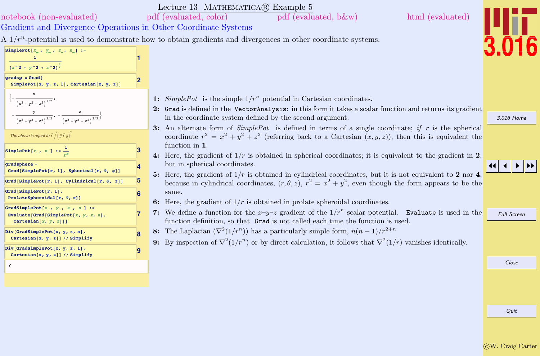|                                                                                                                            |                         | Lecture 13 MATHEMATICA $(R)$ Example 5                                                                                                                                                                                                                                                                                                                    |                    |
|----------------------------------------------------------------------------------------------------------------------------|-------------------------|-----------------------------------------------------------------------------------------------------------------------------------------------------------------------------------------------------------------------------------------------------------------------------------------------------------------------------------------------------------|--------------------|
| notebook (non-evaluated)                                                                                                   |                         | html (evaluated)<br>pdf (evaluated, color)<br>pdf (evaluated, b&w)                                                                                                                                                                                                                                                                                        |                    |
| Gradient and Divergence Operations in Other Coordinate Systems                                                             |                         |                                                                                                                                                                                                                                                                                                                                                           |                    |
|                                                                                                                            |                         | A $1/r^n$ -potential is used to demonstrate how to obtain gradients and divergences in other coordinate systems.                                                                                                                                                                                                                                          |                    |
| SimplePot[ $x_1$ , $y_1$ , $z_1$ , $n_1$ ] :=<br>$(x^2 + y^2 + z^2)^\frac{n}{2}$                                           |                         |                                                                                                                                                                                                                                                                                                                                                           |                    |
| $gradsp = Grad$<br>SimplePot[x, $y$ , z, 1], Cartesian[x, $y$ , z]]                                                        | $\overline{\mathbf{2}}$ |                                                                                                                                                                                                                                                                                                                                                           |                    |
| $\bigg\{-\frac{x}{\left(x^2+y^2+z^2\right)^{3/2}},$<br>$-\frac{y}{(x^2+y^2+z^2)^{3/2}}$ , $-\frac{z}{(x^2+y^2+z^2)^{3/2}}$ |                         | 1: SimplePot is the simple $1/r^n$ potential in Cartesian coordinates.<br>2: Grad is defined in the VectorAnalysis: in this form it takes a scalar function and returns its gradient<br>in the coordinate system defined by the second argument.<br>3: An alternate form of $SimplePot$ is defined in terms of a single coordinate; if r is the spherical | 3.016 Home         |
| The above is equal to $\vec{r}/(\vec{n}\vec{r})^3$                                                                         |                         | coordinate $r^2 = x^2 + y^2 + z^2$ (referring back to a Cartesian $(x, y, z)$ ), then this is equivalent the<br>function in 1.                                                                                                                                                                                                                            |                    |
| SimplePot[ $r_{-}$ , $n_{-}$ ] := $\frac{1}{n}$                                                                            | 3                       | 4: Here, the gradient of $1/r$ is obtained in spherical coordinates; it is equivalent to the gradient in 2,                                                                                                                                                                                                                                               |                    |
| qradsphere =<br>Grad[SimplePot[r, 1], Spherical[r, $\theta$ , $\varphi$ ]]                                                 | 14                      | but in spherical coordinates.<br>5: Here, the gradient of $1/r$ is obtained in cylindrical coordinates, but it is not equivalent to 2 nor 4,                                                                                                                                                                                                              |                    |
| Grad[SimplePot[r, 1], Cylindrical[r, $\theta$ , z]]                                                                        | 5                       | because in cylindrical coordinates, $(r, \theta, z)$ , $r^2 = x^2 + y^2$ , even though the form appears to be the                                                                                                                                                                                                                                         |                    |
| Grad[SimplePot[r, 1],<br>ProlateSpheroidal[ $r, \theta, \varphi$ ]]                                                        | 6                       | same.<br>6: Here, the gradient of $1/r$ is obtained in prolate spheroidal coordinates.                                                                                                                                                                                                                                                                    |                    |
| GradSimplePot[ $x_1$ , $y_1$ , $z_1$ , $n_1$ ] :=<br>Evaluate [Grad [SimplePot $[x, y, z, n]$ ,<br>Cartesian $[x, y, z]$ ] | 17                      | 7: We define a function for the $x-y-z$ gradient of the $1/r^n$ scalar potential. Evaluate is used in the<br>function definition, so that Grad is not called each time the function is used.                                                                                                                                                              | <b>Full Screen</b> |
| Div[GradSimplePot[x, y, z, n],<br>Cartesian[x, y, z]] // Simplify                                                          | 8                       | 8: The Laplacian $(\nabla^2(1/r^n))$ has a particularly simple form, $n(n-1)/r^{2+n}$<br>9: By inspection of $\nabla^2(1/r^n)$ or by direct calculation, it follows that $\nabla^2(1/r)$ vanishes identically.                                                                                                                                            |                    |
| Div[GradSimplePot[x, y, z, 1],<br>Cartesian[x, y, z]] // Simplify                                                          | 19                      |                                                                                                                                                                                                                                                                                                                                                           |                    |
| $\mathsf 0$                                                                                                                |                         |                                                                                                                                                                                                                                                                                                                                                           | Close              |
|                                                                                                                            |                         |                                                                                                                                                                                                                                                                                                                                                           |                    |
|                                                                                                                            |                         |                                                                                                                                                                                                                                                                                                                                                           |                    |
|                                                                                                                            |                         |                                                                                                                                                                                                                                                                                                                                                           | Quit               |
|                                                                                                                            |                         |                                                                                                                                                                                                                                                                                                                                                           |                    |
|                                                                                                                            |                         |                                                                                                                                                                                                                                                                                                                                                           |                    |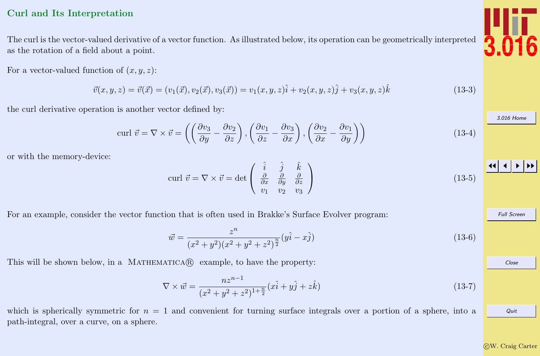### <span id="page-9-0"></span>Curl and Its Interpretation

The curl is the vector-valued derivative of a vector function. As illustrated below, its operation can be geometrically interpreted as the rotation of a field about a point.

For a vector-valued function of  $(x, y, z)$ :

$$
\vec{v}(x, y, z) = \vec{v}(\vec{x}) = (v_1(\vec{x}), v_2(\vec{x}), v_3(\vec{x})) = v_1(x, y, z)\hat{i} + v_2(x, y, z)\hat{j} + v_3(x, y, z)\hat{k}
$$
\n(13-3)

the curl derivative operation is another vector defined by:

$$
\text{curl } \vec{v} = \nabla \times \vec{v} = \left( \left( \frac{\partial v_3}{\partial y} - \frac{\partial v_2}{\partial z} \right), \left( \frac{\partial v_1}{\partial z} - \frac{\partial v_3}{\partial x} \right), \left( \frac{\partial v_2}{\partial x} - \frac{\partial v_1}{\partial y} \right) \right) \tag{13-4}
$$

or with the memory-device:

$$
\text{curl } \vec{v} = \nabla \times \vec{v} = \det \begin{pmatrix} \hat{i} & \hat{j} & \hat{k} \\ \frac{\partial}{\partial x} & \frac{\partial}{\partial y} & \frac{\partial}{\partial z} \\ v_1 & v_2 & v_3 \end{pmatrix} \tag{13-5}
$$

For an example, consider the vector function that is often used in Brakke's Surface Evolver program:

$$
\vec{w} = \frac{z^n}{(x^2 + y^2)(x^2 + y^2 + z^2)^{\frac{n}{2}}}(y\hat{i} - x\hat{j})
$$
\n(13-6)

This will be shown below, in a MATHEMATICA $\mathbb{R}$  example, to have the property:

$$
\nabla \times \vec{w} = \frac{nz^{n-1}}{(x^2 + y^2 + z^2)^{1 + \frac{n}{2}}} (x\hat{i} + y\hat{j} + z\hat{k})
$$
\n(13-7)

which is spherically symmetric for  $n = 1$  and convenient for turning surface integrals over a portion of a sphere, into a path-integral, over a curve, on a sphere.



[3.016 Home](http://pruffle.mit.edu/3.016-2012/)

JJ J I II

Full Screen

Close

$$
f_{\rm{max}}
$$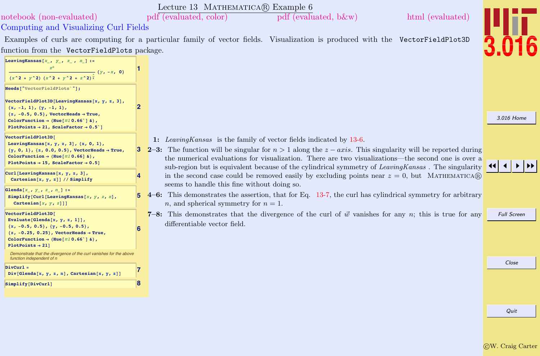|                                                                                                                                                                                                                                                                                      |   | Lecture 13 MATHEMATICA(R) Example 6                                                                                                                                                                                                                                                                                                                                                               |                    |
|--------------------------------------------------------------------------------------------------------------------------------------------------------------------------------------------------------------------------------------------------------------------------------------|---|---------------------------------------------------------------------------------------------------------------------------------------------------------------------------------------------------------------------------------------------------------------------------------------------------------------------------------------------------------------------------------------------------|--------------------|
| notebook (non-evaluated)                                                                                                                                                                                                                                                             |   | $pdf$ (evaluated, color)<br>pdf (evaluated, b&w)<br>html (evaluated)                                                                                                                                                                                                                                                                                                                              |                    |
| Computing and Visualizing Curl Fields                                                                                                                                                                                                                                                |   |                                                                                                                                                                                                                                                                                                                                                                                                   |                    |
|                                                                                                                                                                                                                                                                                      |   | Examples of curls are computing for a particular family of vector fields. Visualization is produced with the VectorFieldPlot3D                                                                                                                                                                                                                                                                    |                    |
| function from the VectorFieldPlots package.                                                                                                                                                                                                                                          |   |                                                                                                                                                                                                                                                                                                                                                                                                   |                    |
| LeavingKansas $[x_1, y_1, z_1, n_1]:=$<br>$(x^2 + y^2) (x^2 + y^2 + z^2) \frac{1}{2} (y, -x, 0)$                                                                                                                                                                                     |   |                                                                                                                                                                                                                                                                                                                                                                                                   |                    |
| Needs["VectorFieldPlots'"];                                                                                                                                                                                                                                                          |   |                                                                                                                                                                                                                                                                                                                                                                                                   |                    |
| VectorFieldPlot3D[LeavingKansas[x, y, z, 3],<br>$\{x, -1, 1\}, \{y, -1, 1\},$<br>$\{z, -0.5, 0.5\}$ , VectorHeads $\rightarrow$ True,<br>ColorFunction $\rightarrow$ (Hue[#10.66`] &),<br>PlotPoints $\rightarrow$ 21, ScaleFactor $\rightarrow$ 0.5 <sup><math>\circ</math></sup> ] | 2 |                                                                                                                                                                                                                                                                                                                                                                                                   | 3.016 Home         |
| VectorFieldPlot3D[<br>LeavingKansas $[x, y, z, 3], \{x, 0, 1\},$<br>${y, 0, 1}, {z, 0.0, 0.5},$ VectorHeads $\rightarrow$ True,<br>ColorFunction $\rightarrow$ (Hue[#10.66] &),<br>PlotPoints $\rightarrow$ 15, ScaleFactor $\rightarrow$ 0.5]                                       | 3 | 1: Leaving Kansas is the family of vector fields indicated by 13-6.<br>2-3: The function will be singular for $n > 1$ along the $z - axis$ . This singularity will be reported during<br>the numerical evaluations for visualization. There are two visualizations—the second one is over a<br>sub-region but is equivalent because of the cylindrical symmetry of LeavingKansas. The singularity |                    |
| Curl[LeavingKansas[x, y, z, 3],<br>Cartesian[x, y, z]] // Simplify                                                                                                                                                                                                                   |   | in the second case could be removed easily by excluding points near $z = 0$ , but MATHEMATICA(R)<br>seems to handle this fine without doing so.                                                                                                                                                                                                                                                   |                    |
| Glenda[x_, $y_$ , $z_$ , $n_$ ] :=<br>Simplify [Curl [Leaving Kansas $[x, y, z, n]$ ,<br>Cartesian $[x, y, z]$ ]                                                                                                                                                                     |   | $4-6$ : This demonstrates the assertion, that for Eq. 13-7, the curl has cylindrical symmetry for arbitrary<br><i>n</i> , and spherical symmetry for $n = 1$ .                                                                                                                                                                                                                                    |                    |
| VectorFieldPlot3D[<br>Evaluate [Glenda $[x, y, z, 1]]$ ,<br>$\{x, -0.5, 0.5\}, \{y, -0.5, 0.5\},$<br>$\{z, -0.25, 0.25\}$ , VectorHeads $\rightarrow$ True,<br>ColorFunction $\rightarrow$ (Hue[#10.66`] &),<br>$PlotPoints \rightarrow 21$ ]                                        |   | 7-8: This demonstrates that the divergence of the curl of $\vec{w}$ vanishes for any n; this is true for any<br>differentiable vector field.                                                                                                                                                                                                                                                      | <b>Full Screen</b> |
| Demonstrate that the divergence of the curl vanishes for the above<br>function independent of n                                                                                                                                                                                      |   |                                                                                                                                                                                                                                                                                                                                                                                                   |                    |
| $DivCurl =$<br>$Div[Glenda[x, y, z, n], Cartesian[x, y, z]]$                                                                                                                                                                                                                         |   |                                                                                                                                                                                                                                                                                                                                                                                                   | Close              |
| Simplify[DivCurl]                                                                                                                                                                                                                                                                    | 8 |                                                                                                                                                                                                                                                                                                                                                                                                   |                    |
|                                                                                                                                                                                                                                                                                      |   |                                                                                                                                                                                                                                                                                                                                                                                                   | Quit               |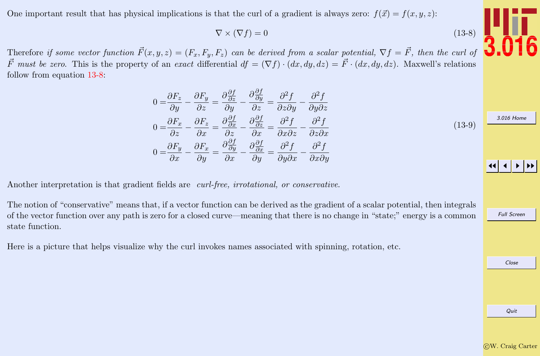One important result that has physical implications is that the curl of a gradient is always zero:  $f(\vec{x}) = f(x, y, z)$ :

$$
\nabla \times (\nabla f) = 0 \tag{13-8}
$$

Therefore if some vector function  $\vec{F}(x, y, z) = (F_x, F_y, F_z)$  can be derived from a scalar potential,  $\nabla f = \vec{F}$ , then the curl of  $\vec{F}$  must be zero. This is the property of an exact differential  $df = (\nabla f) \cdot (dx, dy, dz) = \vec{F} \cdot (dx, dy, dz)$ . Maxwell's relations follow from equation 13-8:

$$
0 = \frac{\partial F_z}{\partial y} - \frac{\partial F_y}{\partial z} = \frac{\partial \frac{\partial f}{\partial z}}{\partial y} - \frac{\partial \frac{\partial f}{\partial y}}{\partial z} = \frac{\partial^2 f}{\partial z \partial y} - \frac{\partial^2 f}{\partial y \partial z}
$$
  
\n
$$
0 = \frac{\partial F_x}{\partial z} - \frac{\partial F_z}{\partial x} = \frac{\partial \frac{\partial f}{\partial x}}{\partial z} - \frac{\partial \frac{\partial f}{\partial z}}{\partial x} = \frac{\partial^2 f}{\partial x \partial z} - \frac{\partial^2 f}{\partial z \partial x}
$$
  
\n
$$
0 = \frac{\partial F_y}{\partial x} - \frac{\partial F_x}{\partial y} = \frac{\partial \frac{\partial f}{\partial y}}{\partial x} - \frac{\partial \frac{\partial f}{\partial x}}{\partial y} = \frac{\partial^2 f}{\partial y \partial x} - \frac{\partial^2 f}{\partial x \partial y}
$$
  
\n(13-9)

Another interpretation is that gradient fields are *curl-free, irrotational, or conservative*.

The notion of "conservative" means that, if a vector function can be derived as the gradient of a scalar potential, then integrals of the vector function over any path is zero for a closed curve—meaning that there is no change in "state;" energy is a common state function.

Here is a picture that helps visualize why the curl invokes names associated with spinning, rotation, etc.



[3.016 Home](http://pruffle.mit.edu/3.016-2012/)

JJ J I II

Full Screen

Close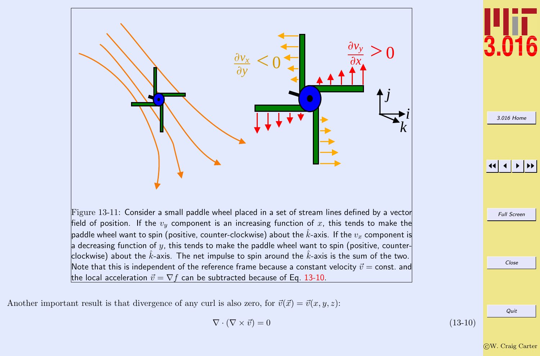

Another important result is that divergence of any curl is also zero, for  $\vec{v}(\vec{x}) = \vec{v}(x, y, z)$ :

$$
\nabla \cdot (\nabla \times \vec{v}) = 0 \tag{13-10}
$$

Full Screen Close Quit

[3.016 Home](http://pruffle.mit.edu/3.016-2012/)

JJ J I II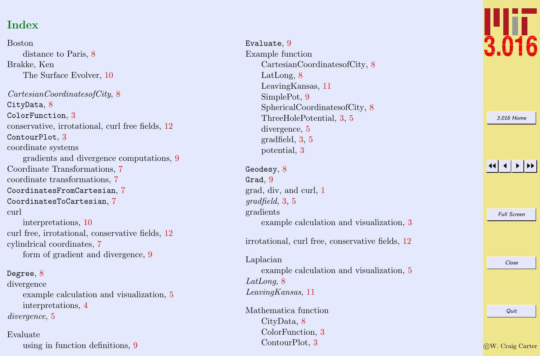# Index

Boston distance to Paris, [8](#page-0-0) Brakke, Ken The Surface Evolver, [10](#page-0-0) CartesianCoordinatesofCity , [8](#page-0-0) CityData, [8](#page-0-0) ColorFunction , [3](#page-0-0) conservative, irrotational, curl free fields, [12](#page-0-0) ContourPlot,  $3$ coordinate systems gradients and divergence computations, [9](#page-0-0) Coordinate Transformations, [7](#page-0-0) coordinate transformations, [7](#page-0-0) CoordinatesFromCartesian , [7](#page-0-0) CoordinatesToCartesian , [7](#page-0-0) curl interpretations, [10](#page-0-0) curl free, irrotational, conservative fields, [12](#page-0-0) cylindrical coordinates, [7](#page-0-0) form of gradient and divergence, [9](#page-0-0) Degree,  $8$ divergence example calculation and visualization, [5](#page-0-0) interpretations, [4](#page-0-0)

divergence, [5](#page-0-0)

Evaluate using in function definitions, [9](#page-0-0)

Evaluate,  $9$ Example function CartesianCoordinatesofCity, [8](#page-0-0) LatLong, [8](#page-0-0) LeavingKansas, [11](#page-0-0) SimplePot, [9](#page-0-0) SphericalCoordinatesofCity, [8](#page-0-0) ThreeHolePotential, [3](#page-0-0) , [5](#page-0-0) divergence, [5](#page-0-0) gradfield, [3](#page-0-0) , [5](#page-0-0) potential, [3](#page-0-0)

Geodesy,  $\bar{8}$  $\bar{8}$  $\bar{8}$  $\mathtt{Grad},\,9$  $\mathtt{Grad},\,9$ grad, div, and curl, [1](#page-0-0)  $gradfield, 3, 5$  $gradfield, 3, 5$  $gradfield, 3, 5$  $gradfield, 3, 5$ gradients example calculation and visualization, [3](#page-0-0)

irrotational, curl free, conservative fields, [12](#page-0-0)

Laplacian example calculation and visualization, [5](#page-0-0) LatLong, [8](#page-0-0) LeavingKansas , [11](#page-0-0)

Mathematica function CityData, [8](#page-0-0) ColorFunction, [3](#page-0-0) ContourPlot, [3](#page-0-0)



|  | 3.016 Home         |  |
|--|--------------------|--|
|  |                    |  |
|  |                    |  |
|  |                    |  |
|  |                    |  |
|  |                    |  |
|  |                    |  |
|  |                    |  |
|  |                    |  |
|  | <b>Full Screen</b> |  |
|  |                    |  |
|  |                    |  |
|  |                    |  |
|  |                    |  |
|  | Close              |  |
|  |                    |  |
|  |                    |  |
|  |                    |  |
|  | Quit               |  |
|  |                    |  |
|  |                    |  |

c W. Craig Carter